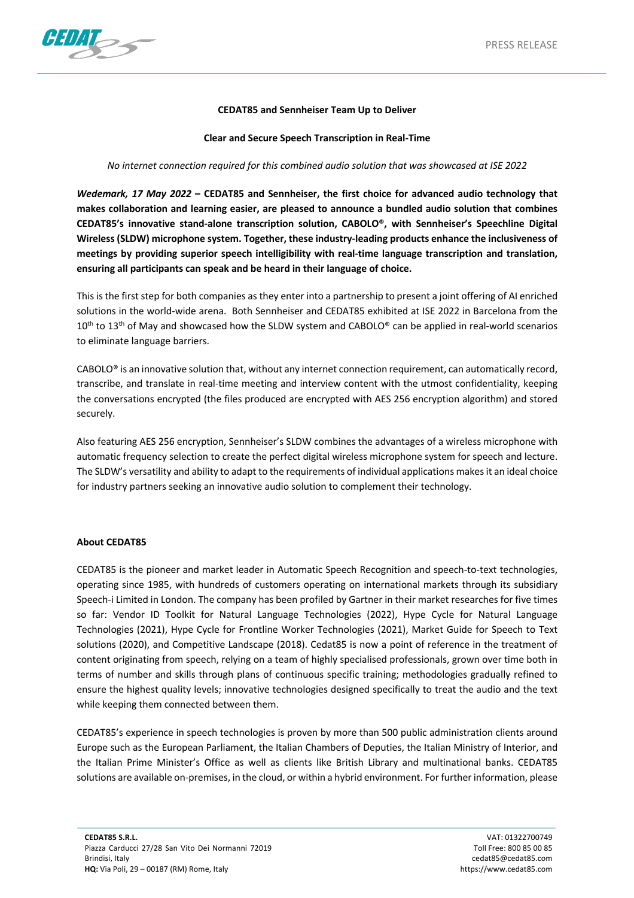

## **CEDAT85 and Sennheiser Team Up to Deliver**

**Clear and Secure Speech Transcription in Real-Time**

## *No internet connection required for this combined audio solution that was showcased at ISE 2022*

*Wedemark, 17 May 2022* **– CEDAT85 and Sennheiser, the first choice for advanced audio technology that makes collaboration and learning easier, are pleased to announce a bundled audio solution that combines CEDAT85's innovative stand-alone transcription solution, CABOLO®, with Sennheiser's Speechline Digital Wireless (SLDW) microphone system. Together, these industry-leading products enhance the inclusiveness of meetings by providing superior speech intelligibility with real-time language transcription and translation, ensuring all participants can speak and be heard in their language of choice.** 

This is the first step for both companies as they enter into a partnership to present a joint offering of AI enriched solutions in the world-wide arena. Both Sennheiser and CEDAT85 exhibited at ISE 2022 in Barcelona from the  $10<sup>th</sup>$  to  $13<sup>th</sup>$  of May and showcased how the SLDW system and CABOLO® can be applied in real-world scenarios to eliminate language barriers.

CABOLO® is an innovative solution that, without any internet connection requirement, can automatically record, transcribe, and translate in real-time meeting and interview content with the utmost confidentiality, keeping the conversations encrypted (the files produced are encrypted with AES 256 encryption algorithm) and stored securely.

Also featuring AES 256 encryption, Sennheiser's SLDW combines the advantages of a wireless microphone with automatic frequency selection to create the perfect digital wireless microphone system for speech and lecture. The SLDW's versatility and ability to adapt to the requirements of individual applications makes it an ideal choice for industry partners seeking an innovative audio solution to complement their technology.

## **About CEDAT85**

CEDAT85 is the pioneer and market leader in Automatic Speech Recognition and speech-to-text technologies, operating since 1985, with hundreds of customers operating on international markets through its subsidiary Speech-i Limited in London. The company has been profiled by Gartner in their market researches for five times so far: Vendor ID Toolkit for Natural Language Technologies (2022), Hype Cycle for Natural Language Technologies (2021), Hype Cycle for Frontline Worker Technologies (2021), Market Guide for Speech to Text solutions (2020), and Competitive Landscape (2018). Cedat85 is now a point of reference in the treatment of content originating from speech, relying on a team of highly specialised professionals, grown over time both in terms of number and skills through plans of continuous specific training; methodologies gradually refined to ensure the highest quality levels; innovative technologies designed specifically to treat the audio and the text while keeping them connected between them.

CEDAT85's experience in speech technologies is proven by more than 500 public administration clients around Europe such as the European Parliament, the Italian Chambers of Deputies, the Italian Ministry of Interior, and the Italian Prime Minister's Office as well as clients like British Library and multinational banks. CEDAT85 solutions are available on-premises, in the cloud, or within a hybrid environment. For further information, please